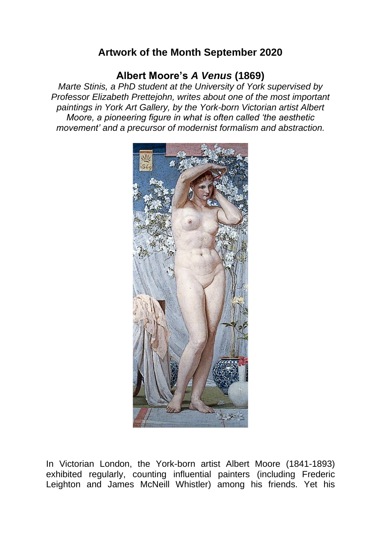## **Artwork of the Month September 2020**

## **Albert Moore's** *A Venus* **(1869)**

*Marte Stinis, a PhD student at the University of York supervised by Professor Elizabeth Prettejohn, writes about one of the most important paintings in York Art Gallery, by the York-born Victorian artist Albert Moore, a pioneering figure in what is often called 'the aesthetic movement' and a precursor of modernist formalism and abstraction.*



In Victorian London, the York-born artist Albert Moore (1841-1893) exhibited regularly, counting influential painters (including Frederic Leighton and James McNeill Whistler) among his friends. Yet his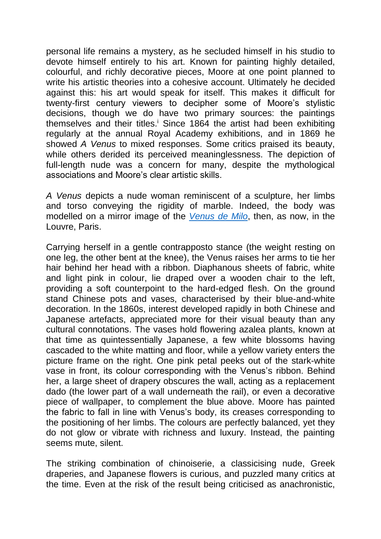personal life remains a mystery, as he secluded himself in his studio to devote himself entirely to his art. Known for painting highly detailed, colourful, and richly decorative pieces, Moore at one point planned to write his artistic theories into a cohesive account. Ultimately he decided against this: his art would speak for itself. This makes it difficult for twenty-first century viewers to decipher some of Moore's stylistic decisions, though we do have two primary sources: the paintings themselves and their titles.<sup>i</sup> Since 1864 the artist had been exhibiting regularly at the annual Royal Academy exhibitions, and in 1869 he showed *A Venus* to mixed responses. Some critics praised its beauty, while others derided its perceived meaninglessness. The depiction of full-length nude was a concern for many, despite the mythological associations and Moore's clear artistic skills.

*A Venus* depicts a nude woman reminiscent of a sculpture, her limbs and torso conveying the rigidity of marble. Indeed, the body was modelled on a mirror image of the *[Venus de Milo](https://en.wikipedia.org/wiki/Venus_de_Milo)*, then, as now, in the Louvre, Paris.

Carrying herself in a gentle contrapposto stance (the weight resting on one leg, the other bent at the knee), the Venus raises her arms to tie her hair behind her head with a ribbon. Diaphanous sheets of fabric, white and light pink in colour, lie draped over a wooden chair to the left, providing a soft counterpoint to the hard-edged flesh. On the ground stand Chinese pots and vases, characterised by their blue-and-white decoration. In the 1860s, interest developed rapidly in both Chinese and Japanese artefacts, appreciated more for their visual beauty than any cultural connotations. The vases hold flowering azalea plants, known at that time as quintessentially Japanese, a few white blossoms having cascaded to the white matting and floor, while a yellow variety enters the picture frame on the right. One pink petal peeks out of the stark-white vase in front, its colour corresponding with the Venus's ribbon. Behind her, a large sheet of drapery obscures the wall, acting as a replacement dado (the lower part of a wall underneath the rail), or even a decorative piece of wallpaper, to complement the blue above. Moore has painted the fabric to fall in line with Venus's body, its creases corresponding to the positioning of her limbs. The colours are perfectly balanced, yet they do not glow or vibrate with richness and luxury. Instead, the painting seems mute, silent.

The striking combination of chinoiserie, a classicising nude, Greek draperies, and Japanese flowers is curious, and puzzled many critics at the time. Even at the risk of the result being criticised as anachronistic,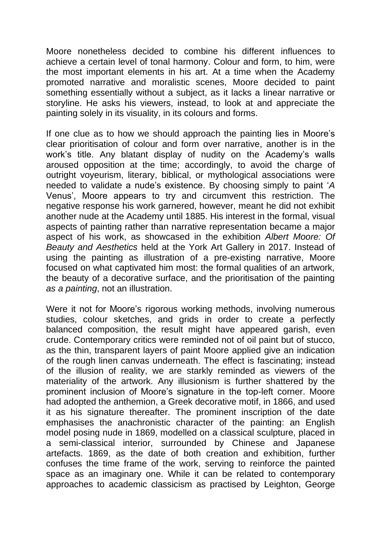Moore nonetheless decided to combine his different influences to achieve a certain level of tonal harmony. Colour and form, to him, were the most important elements in his art. At a time when the Academy promoted narrative and moralistic scenes, Moore decided to paint something essentially without a subject, as it lacks a linear narrative or storyline. He asks his viewers, instead, to look at and appreciate the painting solely in its visuality, in its colours and forms.

If one clue as to how we should approach the painting lies in Moore's clear prioritisation of colour and form over narrative, another is in the work's title. Any blatant display of nudity on the Academy's walls aroused opposition at the time; accordingly, to avoid the charge of outright voyeurism, literary, biblical, or mythological associations were needed to validate a nude's existence. By choosing simply to paint '*A*  Venus', Moore appears to try and circumvent this restriction. The negative response his work garnered, however, meant he did not exhibit another nude at the Academy until 1885. His interest in the formal, visual aspects of painting rather than narrative representation became a major aspect of his work, as showcased in the exhibition *Albert Moore: Of Beauty and Aesthetics* held at the York Art Gallery in 2017. Instead of using the painting as illustration of a pre-existing narrative, Moore focused on what captivated him most: the formal qualities of an artwork, the beauty of a decorative surface, and the prioritisation of the painting *as a painting*, not an illustration.

Were it not for Moore's rigorous working methods, involving numerous studies, colour sketches, and grids in order to create a perfectly balanced composition, the result might have appeared garish, even crude. Contemporary critics were reminded not of oil paint but of stucco, as the thin, transparent layers of paint Moore applied give an indication of the rough linen canvas underneath. The effect is fascinating; instead of the illusion of reality, we are starkly reminded as viewers of the materiality of the artwork. Any illusionism is further shattered by the prominent inclusion of Moore's signature in the top-left corner. Moore had adopted the anthemion, a Greek decorative motif, in 1866, and used it as his signature thereafter. The prominent inscription of the date emphasises the anachronistic character of the painting: an English model posing nude in 1869, modelled on a classical sculpture, placed in a semi-classical interior, surrounded by Chinese and Japanese artefacts. 1869, as the date of both creation and exhibition, further confuses the time frame of the work, serving to reinforce the painted space as an imaginary one. While it can be related to contemporary approaches to academic classicism as practised by Leighton, George